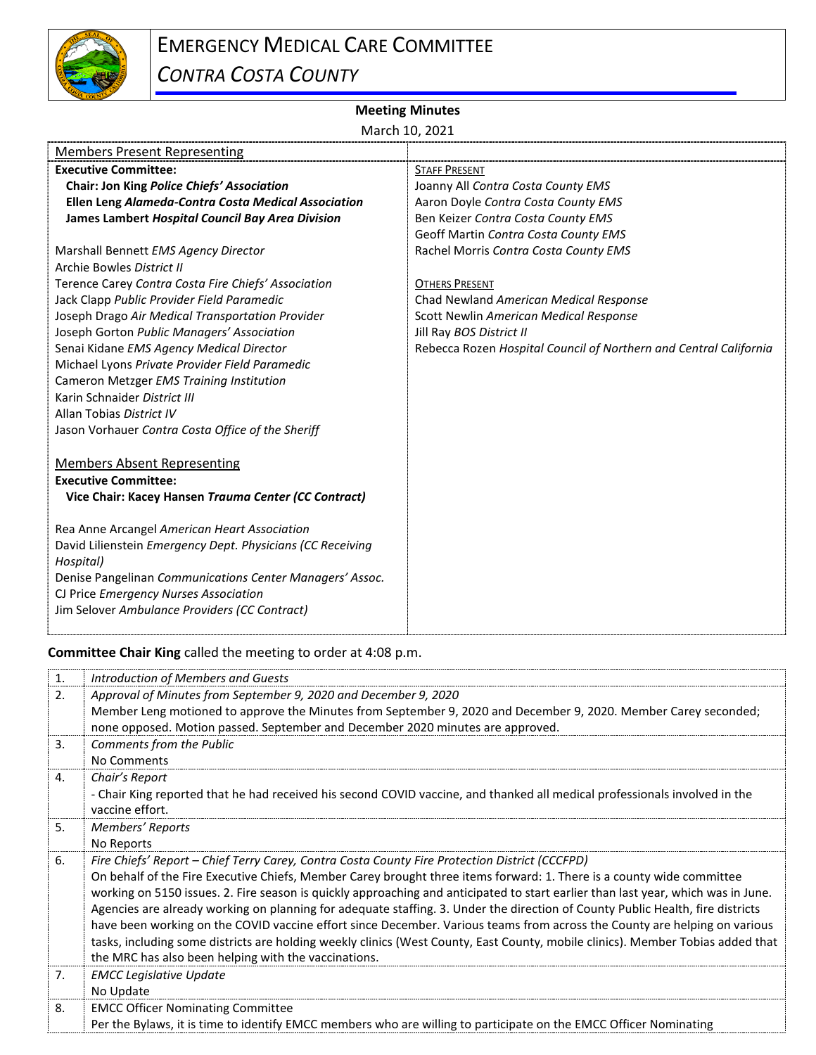

## EMERGENCY MEDICAL CARE COMMITTEE *CONTRA COSTA COUNTY*

## **Meeting Minutes**

March 10, 2021

| <b>Members Present Representing</b>                        |                                                                   |
|------------------------------------------------------------|-------------------------------------------------------------------|
| <b>Executive Committee:</b>                                | <b>STAFF PRESENT</b>                                              |
| Chair: Jon King Police Chiefs' Association                 | Joanny All Contra Costa County EMS                                |
| Ellen Leng Alameda-Contra Costa Medical Association        | Aaron Doyle Contra Costa County EMS                               |
| James Lambert Hospital Council Bay Area Division           | Ben Keizer Contra Costa County EMS                                |
|                                                            | Geoff Martin Contra Costa County EMS                              |
| Marshall Bennett EMS Agency Director                       | Rachel Morris Contra Costa County EMS                             |
| Archie Bowles District II                                  |                                                                   |
| Terence Carey Contra Costa Fire Chiefs' Association        | <b>OTHERS PRESENT</b>                                             |
| Jack Clapp Public Provider Field Paramedic                 | Chad Newland American Medical Response                            |
| Joseph Drago Air Medical Transportation Provider           | Scott Newlin American Medical Response                            |
| Joseph Gorton Public Managers' Association                 | Jill Ray BOS District II                                          |
| Senai Kidane EMS Agency Medical Director                   | Rebecca Rozen Hospital Council of Northern and Central California |
| Michael Lyons Private Provider Field Paramedic             |                                                                   |
| Cameron Metzger EMS Training Institution                   |                                                                   |
| Karin Schnaider District III                               |                                                                   |
| Allan Tobias District IV                                   |                                                                   |
| Jason Vorhauer Contra Costa Office of the Sheriff          |                                                                   |
| <b>Members Absent Representing</b>                         |                                                                   |
| <b>Executive Committee:</b>                                |                                                                   |
| Vice Chair: Kacey Hansen Trauma Center (CC Contract)       |                                                                   |
|                                                            |                                                                   |
| Rea Anne Arcangel American Heart Association               |                                                                   |
| David Lilienstein Emergency Dept. Physicians (CC Receiving |                                                                   |
| Hospital)                                                  |                                                                   |
| Denise Pangelinan Communications Center Managers' Assoc.   |                                                                   |
| CJ Price Emergency Nurses Association                      |                                                                   |
| Jim Selover Ambulance Providers (CC Contract)              |                                                                   |
|                                                            |                                                                   |

**Committee Chair King** called the meeting to order at 4:08 p.m.

| 1. | Introduction of Members and Guests                                                                                                |
|----|-----------------------------------------------------------------------------------------------------------------------------------|
| 2. | Approval of Minutes from September 9, 2020 and December 9, 2020                                                                   |
|    | Member Leng motioned to approve the Minutes from September 9, 2020 and December 9, 2020. Member Carey seconded;                   |
|    | none opposed. Motion passed. September and December 2020 minutes are approved.                                                    |
| 3. | Comments from the Public                                                                                                          |
|    | No Comments                                                                                                                       |
| 4. | Chair's Report                                                                                                                    |
|    | - Chair King reported that he had received his second COVID vaccine, and thanked all medical professionals involved in the        |
|    | vaccine effort.                                                                                                                   |
| 5. | Members' Reports                                                                                                                  |
|    | No Reports                                                                                                                        |
|    |                                                                                                                                   |
| 6. | Fire Chiefs' Report - Chief Terry Carey, Contra Costa County Fire Protection District (CCCFPD)                                    |
|    | On behalf of the Fire Executive Chiefs, Member Carey brought three items forward: 1. There is a county wide committee             |
|    | working on 5150 issues. 2. Fire season is quickly approaching and anticipated to start earlier than last year, which was in June. |
|    | Agencies are already working on planning for adequate staffing. 3. Under the direction of County Public Health, fire districts    |
|    | have been working on the COVID vaccine effort since December. Various teams from across the County are helping on various         |
|    | tasks, including some districts are holding weekly clinics (West County, East County, mobile clinics). Member Tobias added that   |
|    | the MRC has also been helping with the vaccinations.                                                                              |
| 7. | <b>EMCC Legislative Update</b>                                                                                                    |
|    | No Update                                                                                                                         |
| 8. | <b>EMCC Officer Nominating Committee</b>                                                                                          |
|    | Per the Bylaws, it is time to identify EMCC members who are willing to participate on the EMCC Officer Nominating                 |